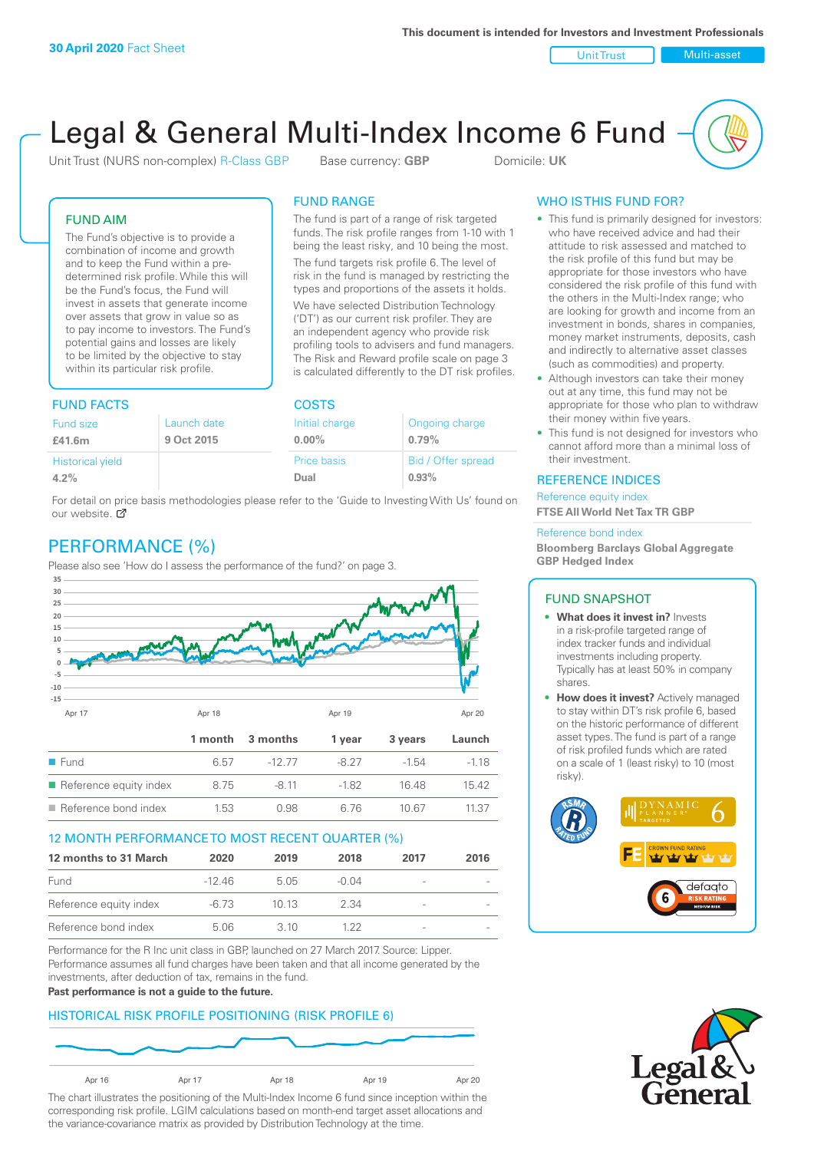Unit Trust Nulti-asset

# Legal & General Multi-Index Income 6 Fund

Unit Trust (NURS non-complex) R-Class GBP Base currency: **GBP** Domicile: UK

The fund is part of a range of risk targeted funds. The risk profile ranges from 1-10 with 1 being the least risky, and 10 being the most. The fund targets risk profile 6. The level of risk in the fund is managed by restricting the types and proportions of the assets it holds. We have selected Distribution Technology ('DT') as our current risk profiler. They are an independent agency who provide risk profiling tools to advisers and fund managers. The Risk and Reward profile scale on page 3 is calculated differently to the DT risk profiles.

FUND RANGE

# FUND AIM

The Fund's objective is to provide a combination of income and growth and to keep the Fund within a predetermined risk profile. While this will be the Fund's focus, the Fund will invest in assets that generate income over assets that grow in value so as to pay income to investors. The Fund's potential gains and losses are likely to be limited by the objective to stay within its particular risk profile.

# FUND FACTS COSTS

| Ongoing charge     |  |  |
|--------------------|--|--|
| 0.79%              |  |  |
| Bid / Offer spread |  |  |
| 0.93%              |  |  |
|                    |  |  |

For detail on price basis methodologies please refer to the 'Guide to Investing With Us' found on our website.  $\sigma$ 

# PERFORMANCE (%)

Please also see 'How do I assess the performance of the fund?' on page 3.



## 12 MONTH PERFORMANCE TO MOST RECENT QUARTER (%)

| 12 months to 31 March  | 2020    | 2019  | 2018    | 2017                     | 2016 |
|------------------------|---------|-------|---------|--------------------------|------|
| Fund                   | $-1246$ | 5.05  | $-0.04$ |                          |      |
| Reference equity index | -6.73   | 10 13 | 2.34    | $\overline{\phantom{0}}$ |      |
| Reference bond index   | 5.06    | 3.10  | 1 22    | -                        |      |

Performance for the R Inc unit class in GBP, launched on 27 March 2017. Source: Lipper. Performance assumes all fund charges have been taken and that all income generated by the investments, after deduction of tax, remains in the fund.

#### **Past performance is not a guide to the future.**

# HISTORICAL RISK PROFILE POSITIONING (RISK PROFILE 6)



The chart illustrates the positioning of the Multi-Index Income 6 fund since inception within the corresponding risk profile. LGIM calculations based on month-end target asset allocations and the variance-covariance matrix as provided by Distribution Technology at the time.

# WHO IS THIS FUND FOR?

- This fund is primarily designed for investors: who have received advice and had their attitude to risk assessed and matched to the risk profile of this fund but may be appropriate for those investors who have considered the risk profile of this fund with the others in the Multi-Index range; who are looking for growth and income from an investment in bonds, shares in companies, money market instruments, deposits, cash and indirectly to alternative asset classes (such as commodities) and property.
- Although investors can take their money out at any time, this fund may not be appropriate for those who plan to withdraw their money within five years.
- This fund is not designed for investors who cannot afford more than a minimal loss of their investment.

## REFERENCE INDICES

Reference equity index **FTSE All World Net Tax TR GBP**

#### Reference bond index

**Bloomberg Barclays Global Aggregate GBP Hedged Index**

## FUND SNAPSHOT

- **• What does it invest in?** Invests in a risk-profile targeted range of index tracker funds and individual investments including property. Typically has at least 50% in company shares.
- **• How does it invest?** Actively managed to stay within DT's risk profile 6, based on the historic performance of different asset types. The fund is part of a range of risk profiled funds which are rated on a scale of 1 (least risky) to 10 (most risky).



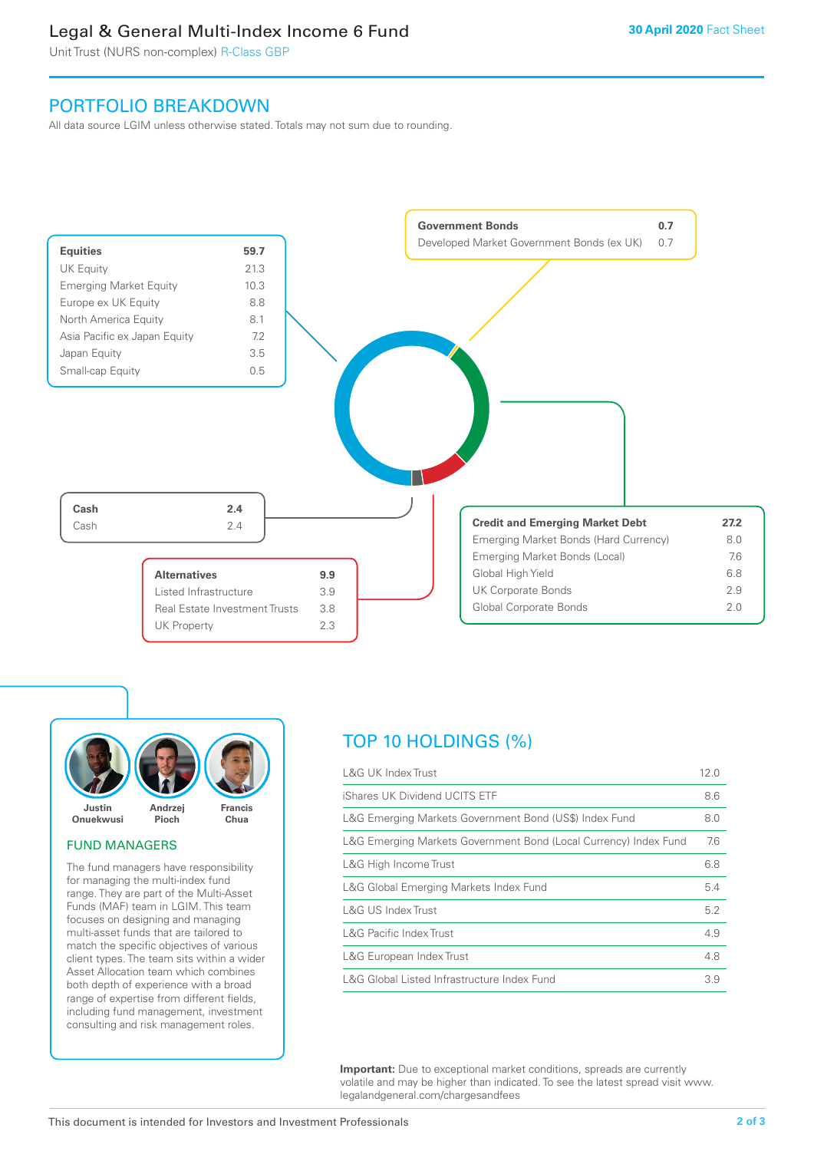# Legal & General Multi-Index Income 6 Fund

Unit Trust (NURS non-complex) R-Class GBP

# PORTFOLIO BREAKDOWN

All data source LGIM unless otherwise stated. Totals may not sum due to rounding.





#### FUND MANAGERS

The fund managers have responsibility for managing the multi-index fund range. They are part of the Multi-Asset Funds (MAF) team in LGIM. This team focuses on designing and managing multi-asset funds that are tailored to match the specific objectives of various client types. The team sits within a wider Asset Allocation team which combines both depth of experience with a broad range of expertise from different fields, including fund management, investment consulting and risk management roles.

# TOP 10 HOLDINGS (%)

| <b>L&amp;G UK Index Trust</b>                                    | 12.0 |
|------------------------------------------------------------------|------|
| iShares UK Dividend UCITS ETF                                    | 8.6  |
| L&G Emerging Markets Government Bond (US\$) Index Fund           | 8.0  |
| L&G Emerging Markets Government Bond (Local Currency) Index Fund | 7.6  |
| L&G High Income Trust                                            | 6.8  |
| L&G Global Emerging Markets Index Fund                           | 5.4  |
| L&G US Index Trust                                               | 5.2  |
| <b>L&amp;G Pacific Index Trust</b>                               | 4.9  |
| L&G European Index Trust                                         | 4.8  |
| L&G Global Listed Infrastructure Index Fund                      | 3.9  |

**Important:** Due to exceptional market conditions, spreads are currently volatile and may be higher than indicated. To see the latest spread visit www. legalandgeneral.com/chargesandfees